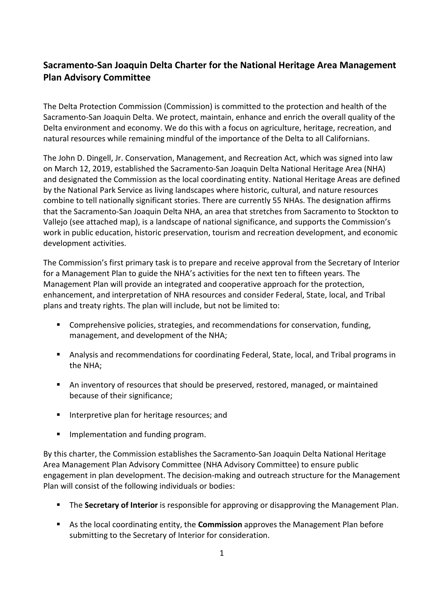# **Sacramento-San Joaquin Delta Charter for the National Heritage Area Management Plan Advisory Committee**

The Delta Protection Commission (Commission) is committed to the protection and health of the Sacramento-San Joaquin Delta. We protect, maintain, enhance and enrich the overall quality of the Delta environment and economy. We do this with a focus on agriculture, heritage, recreation, and natural resources while remaining mindful of the importance of the Delta to all Californians.

The John D. Dingell, Jr. Conservation, Management, and Recreation Act, which was signed into law on March 12, 2019, established the Sacramento-San Joaquin Delta National Heritage Area (NHA) and designated the Commission as the local coordinating entity. National Heritage Areas are defined by the National Park Service as living landscapes where historic, cultural, and nature resources combine to tell nationally significant stories. There are currently 55 NHAs. The designation affirms that the Sacramento-San Joaquin Delta NHA, an area that stretches from Sacramento to Stockton to Vallejo (see attached map), is a landscape of national significance, and supports the Commission's work in public education, historic preservation, tourism and recreation development, and economic development activities.

The Commission's first primary task is to prepare and receive approval from the Secretary of Interior for a Management Plan to guide the NHA's activities for the next ten to fifteen years. The Management Plan will provide an integrated and cooperative approach for the protection, enhancement, and interpretation of NHA resources and consider Federal, State, local, and Tribal plans and treaty rights. The plan will include, but not be limited to:

- Comprehensive policies, strategies, and recommendations for conservation, funding, management, and development of the NHA;
- Analysis and recommendations for coordinating Federal, State, local, and Tribal programs in the NHA;
- An inventory of resources that should be preserved, restored, managed, or maintained because of their significance;
- **Interpretive plan for heritage resources; and**
- **Implementation and funding program.**

By this charter, the Commission establishes the Sacramento-San Joaquin Delta National Heritage Area Management Plan Advisory Committee (NHA Advisory Committee) to ensure public engagement in plan development. The decision-making and outreach structure for the Management Plan will consist of the following individuals or bodies:

- **The Secretary of Interior** is responsible for approving or disapproving the Management Plan.
- As the local coordinating entity, the **Commission** approves the Management Plan before submitting to the Secretary of Interior for consideration.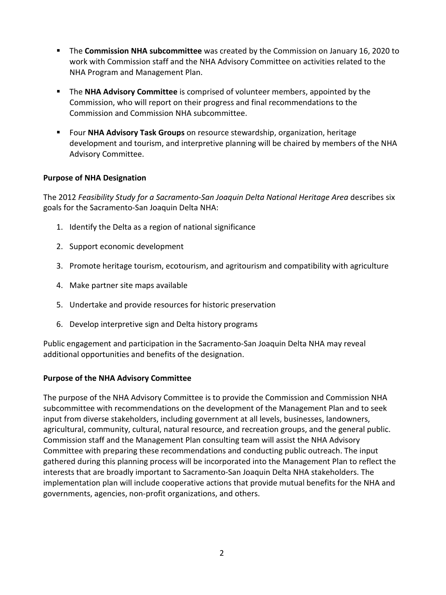- The **Commission NHA subcommittee** was created by the Commission on January 16, 2020 to work with Commission staff and the NHA Advisory Committee on activities related to the NHA Program and Management Plan.
- The **NHA Advisory Committee** is comprised of volunteer members, appointed by the Commission, who will report on their progress and final recommendations to the Commission and Commission NHA subcommittee.
- Four **NHA Advisory Task Groups** on resource stewardship, organization, heritage development and tourism, and interpretive planning will be chaired by members of the NHA Advisory Committee.

### **Purpose of NHA Designation**

The 2012 *Feasibility Study for a Sacramento-San Joaquin Delta National Heritage Area* describes six goals for the Sacramento-San Joaquin Delta NHA:

- 1. Identify the Delta as a region of national significance
- 2. Support economic development
- 3. Promote heritage tourism, ecotourism, and agritourism and compatibility with agriculture
- 4. Make partner site maps available
- 5. Undertake and provide resources for historic preservation
- 6. Develop interpretive sign and Delta history programs

Public engagement and participation in the Sacramento-San Joaquin Delta NHA may reveal additional opportunities and benefits of the designation.

#### **Purpose of the NHA Advisory Committee**

The purpose of the NHA Advisory Committee is to provide the Commission and Commission NHA subcommittee with recommendations on the development of the Management Plan and to seek input from diverse stakeholders, including government at all levels, businesses, landowners, agricultural, community, cultural, natural resource, and recreation groups, and the general public. Commission staff and the Management Plan consulting team will assist the NHA Advisory Committee with preparing these recommendations and conducting public outreach. The input gathered during this planning process will be incorporated into the Management Plan to reflect the interests that are broadly important to Sacramento-San Joaquin Delta NHA stakeholders. The implementation plan will include cooperative actions that provide mutual benefits for the NHA and governments, agencies, non-profit organizations, and others.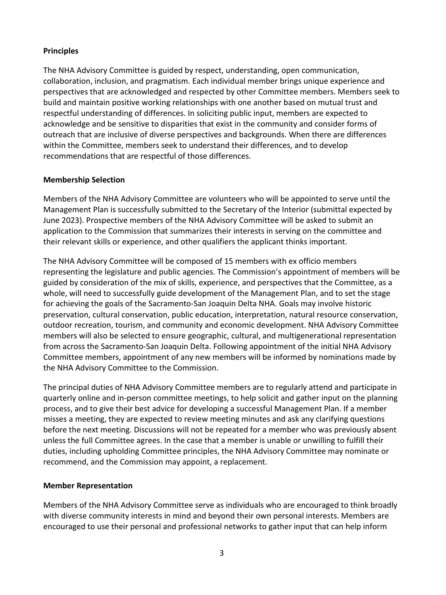### **Principles**

The NHA Advisory Committee is guided by respect, understanding, open communication, collaboration, inclusion, and pragmatism. Each individual member brings unique experience and perspectives that are acknowledged and respected by other Committee members. Members seek to build and maintain positive working relationships with one another based on mutual trust and respectful understanding of differences. In soliciting public input, members are expected to acknowledge and be sensitive to disparities that exist in the community and consider forms of outreach that are inclusive of diverse perspectives and backgrounds. When there are differences within the Committee, members seek to understand their differences, and to develop recommendations that are respectful of those differences.

#### **Membership Selection**

Members of the NHA Advisory Committee are volunteers who will be appointed to serve until the Management Plan is successfully submitted to the Secretary of the Interior (submittal expected by June 2023). Prospective members of the NHA Advisory Committee will be asked to submit an application to the Commission that summarizes their interests in serving on the committee and their relevant skills or experience, and other qualifiers the applicant thinks important.

The NHA Advisory Committee will be composed of 15 members with ex officio members representing the legislature and public agencies. The Commission's appointment of members will be guided by consideration of the mix of skills, experience, and perspectives that the Committee, as a whole, will need to successfully guide development of the Management Plan, and to set the stage for achieving the goals of the Sacramento-San Joaquin Delta NHA. Goals may involve historic preservation, cultural conservation, public education, interpretation, natural resource conservation, outdoor recreation, tourism, and community and economic development. NHA Advisory Committee members will also be selected to ensure geographic, cultural, and multigenerational representation from across the Sacramento-San Joaquin Delta. Following appointment of the initial NHA Advisory Committee members, appointment of any new members will be informed by nominations made by the NHA Advisory Committee to the Commission.

The principal duties of NHA Advisory Committee members are to regularly attend and participate in quarterly online and in-person committee meetings, to help solicit and gather input on the planning process, and to give their best advice for developing a successful Management Plan. If a member misses a meeting, they are expected to review meeting minutes and ask any clarifying questions before the next meeting. Discussions will not be repeated for a member who was previously absent unless the full Committee agrees. In the case that a member is unable or unwilling to fulfill their duties, including upholding Committee principles, the NHA Advisory Committee may nominate or recommend, and the Commission may appoint, a replacement.

#### **Member Representation**

Members of the NHA Advisory Committee serve as individuals who are encouraged to think broadly with diverse community interests in mind and beyond their own personal interests. Members are encouraged to use their personal and professional networks to gather input that can help inform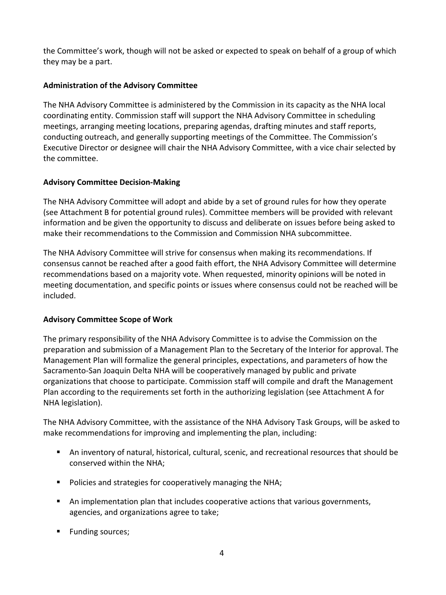the Committee's work, though will not be asked or expected to speak on behalf of a group of which they may be a part.

### **Administration of the Advisory Committee**

The NHA Advisory Committee is administered by the Commission in its capacity as the NHA local coordinating entity. Commission staff will support the NHA Advisory Committee in scheduling meetings, arranging meeting locations, preparing agendas, drafting minutes and staff reports, conducting outreach, and generally supporting meetings of the Committee. The Commission's Executive Director or designee will chair the NHA Advisory Committee, with a vice chair selected by the committee.

### **Advisory Committee Decision-Making**

The NHA Advisory Committee will adopt and abide by a set of ground rules for how they operate (see Attachment B for potential ground rules). Committee members will be provided with relevant information and be given the opportunity to discuss and deliberate on issues before being asked to make their recommendations to the Commission and Commission NHA subcommittee.

The NHA Advisory Committee will strive for consensus when making its recommendations. If consensus cannot be reached after a good faith effort, the NHA Advisory Committee will determine recommendations based on a majority vote. When requested, minority opinions will be noted in meeting documentation, and specific points or issues where consensus could not be reached will be included.

### **Advisory Committee Scope of Work**

The primary responsibility of the NHA Advisory Committee is to advise the Commission on the preparation and submission of a Management Plan to the Secretary of the Interior for approval. The Management Plan will formalize the general principles, expectations, and parameters of how the Sacramento-San Joaquin Delta NHA will be cooperatively managed by public and private organizations that choose to participate. Commission staff will compile and draft the Management Plan according to the requirements set forth in the authorizing legislation (see Attachment A for NHA legislation).

The NHA Advisory Committee, with the assistance of the NHA Advisory Task Groups, will be asked to make recommendations for improving and implementing the plan, including:

- An inventory of natural, historical, cultural, scenic, and recreational resources that should be conserved within the NHA;
- **Policies and strategies for cooperatively managing the NHA;**
- An implementation plan that includes cooperative actions that various governments, agencies, and organizations agree to take;
- **Funding sources;**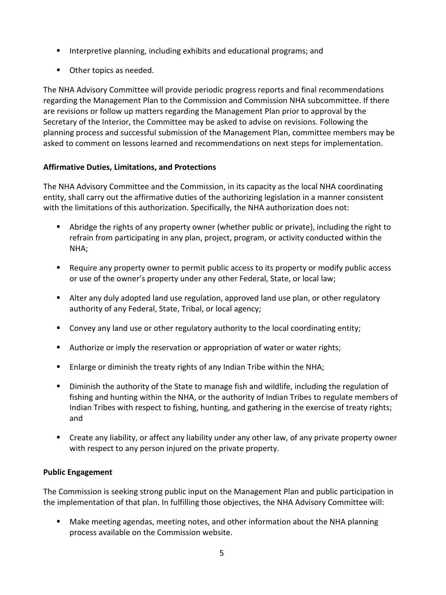- Interpretive planning, including exhibits and educational programs; and
- **Other topics as needed.**

The NHA Advisory Committee will provide periodic progress reports and final recommendations regarding the Management Plan to the Commission and Commission NHA subcommittee. If there are revisions or follow up matters regarding the Management Plan prior to approval by the Secretary of the Interior, the Committee may be asked to advise on revisions. Following the planning process and successful submission of the Management Plan, committee members may be asked to comment on lessons learned and recommendations on next steps for implementation.

### **Affirmative Duties, Limitations, and Protections**

The NHA Advisory Committee and the Commission, in its capacity as the local NHA coordinating entity, shall carry out the affirmative duties of the authorizing legislation in a manner consistent with the limitations of this authorization. Specifically, the NHA authorization does not:

- Abridge the rights of any property owner (whether public or private), including the right to refrain from participating in any plan, project, program, or activity conducted within the NHA;
- Require any property owner to permit public access to its property or modify public access or use of the owner's property under any other Federal, State, or local law;
- Alter any duly adopted land use regulation, approved land use plan, or other regulatory authority of any Federal, State, Tribal, or local agency;
- **Convey any land use or other regulatory authority to the local coordinating entity;**
- **Authorize or imply the reservation or appropriation of water or water rights;**
- **Enlarge or diminish the treaty rights of any Indian Tribe within the NHA;**
- Diminish the authority of the State to manage fish and wildlife, including the regulation of fishing and hunting within the NHA, or the authority of Indian Tribes to regulate members of Indian Tribes with respect to fishing, hunting, and gathering in the exercise of treaty rights; and
- Create any liability, or affect any liability under any other law, of any private property owner with respect to any person injured on the private property.

#### **Public Engagement**

The Commission is seeking strong public input on the Management Plan and public participation in the implementation of that plan. In fulfilling those objectives, the NHA Advisory Committee will:

 Make meeting agendas, meeting notes, and other information about the NHA planning process available on the Commission website.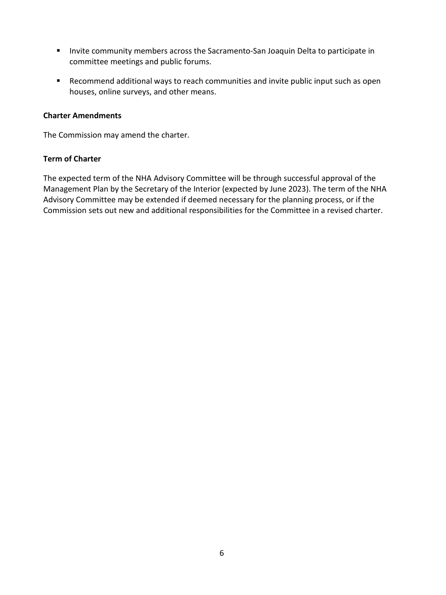- **Invite community members across the Sacramento-San Joaquin Delta to participate in** committee meetings and public forums.
- Recommend additional ways to reach communities and invite public input such as open houses, online surveys, and other means.

#### **Charter Amendments**

The Commission may amend the charter.

#### **Term of Charter**

The expected term of the NHA Advisory Committee will be through successful approval of the Management Plan by the Secretary of the Interior (expected by June 2023). The term of the NHA Advisory Committee may be extended if deemed necessary for the planning process, or if the Commission sets out new and additional responsibilities for the Committee in a revised charter.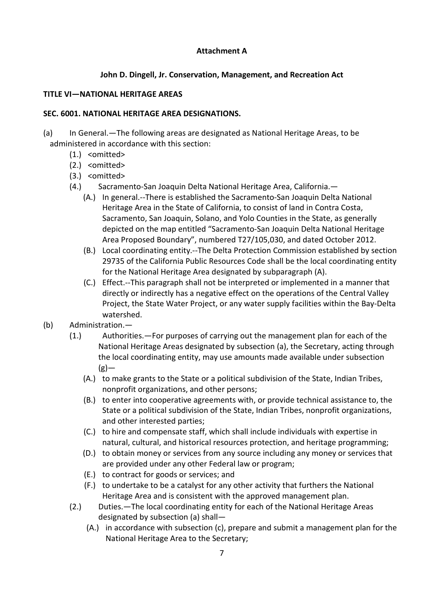### **Attachment A**

### **John D. Dingell, Jr. Conservation, Management, and Recreation Act**

#### **TITLE VI—NATIONAL HERITAGE AREAS**

#### **SEC. 6001. NATIONAL HERITAGE AREA DESIGNATIONS.**

(a) In General.—The following areas are designated as National Heritage Areas, to be administered in accordance with this section:

- (1.) <omitted>
- (2.) <omitted>
- (3.) <omitted>
- (4.) Sacramento-San Joaquin Delta National Heritage Area, California.—
	- (A.) In general.--There is established the Sacramento-San Joaquin Delta National Heritage Area in the State of California, to consist of land in Contra Costa, Sacramento, San Joaquin, Solano, and Yolo Counties in the State, as generally depicted on the map entitled "Sacramento-San Joaquin Delta National Heritage Area Proposed Boundary", numbered T27/105,030, and dated October 2012.
	- (B.) Local coordinating entity.--The Delta Protection Commission established by section 29735 of the California Public Resources Code shall be the local coordinating entity for the National Heritage Area designated by subparagraph (A).
	- (C.) Effect.--This paragraph shall not be interpreted or implemented in a manner that directly or indirectly has a negative effect on the operations of the Central Valley Project, the State Water Project, or any water supply facilities within the Bay-Delta watershed.

## (b) Administration.—

- (1.) Authorities.—For purposes of carrying out the management plan for each of the National Heritage Areas designated by subsection (a), the Secretary, acting through the local coordinating entity, may use amounts made available under subsection  $(g)$ —
	- (A.) to make grants to the State or a political subdivision of the State, Indian Tribes, nonprofit organizations, and other persons;
	- (B.) to enter into cooperative agreements with, or provide technical assistance to, the State or a political subdivision of the State, Indian Tribes, nonprofit organizations, and other interested parties;
	- (C.) to hire and compensate staff, which shall include individuals with expertise in natural, cultural, and historical resources protection, and heritage programming;
	- (D.) to obtain money or services from any source including any money or services that are provided under any other Federal law or program;
	- (E.) to contract for goods or services; and
	- (F.) to undertake to be a catalyst for any other activity that furthers the National Heritage Area and is consistent with the approved management plan.
- (2.) Duties.—The local coordinating entity for each of the National Heritage Areas designated by subsection (a) shall—
	- (A.) in accordance with subsection (c), prepare and submit a management plan for the National Heritage Area to the Secretary;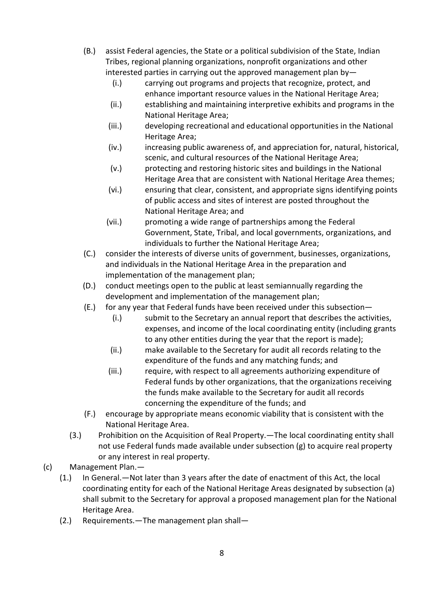- (B.) assist Federal agencies, the State or a political subdivision of the State, Indian Tribes, regional planning organizations, nonprofit organizations and other interested parties in carrying out the approved management plan by-
	- (i.) carrying out programs and projects that recognize, protect, and enhance important resource values in the National Heritage Area;
	- (ii.) establishing and maintaining interpretive exhibits and programs in the National Heritage Area;
	- (iii.) developing recreational and educational opportunities in the National Heritage Area;
	- (iv.) increasing public awareness of, and appreciation for, natural, historical, scenic, and cultural resources of the National Heritage Area;
	- (v.) protecting and restoring historic sites and buildings in the National Heritage Area that are consistent with National Heritage Area themes;
	- (vi.) ensuring that clear, consistent, and appropriate signs identifying points of public access and sites of interest are posted throughout the National Heritage Area; and
	- (vii.) promoting a wide range of partnerships among the Federal Government, State, Tribal, and local governments, organizations, and individuals to further the National Heritage Area;
- (C.) consider the interests of diverse units of government, businesses, organizations, and individuals in the National Heritage Area in the preparation and implementation of the management plan;
- (D.) conduct meetings open to the public at least semiannually regarding the development and implementation of the management plan;
- (E.) for any year that Federal funds have been received under this subsection—
	- (i.) submit to the Secretary an annual report that describes the activities, expenses, and income of the local coordinating entity (including grants to any other entities during the year that the report is made);
	- (ii.) make available to the Secretary for audit all records relating to the expenditure of the funds and any matching funds; and
	- (iii.) require, with respect to all agreements authorizing expenditure of Federal funds by other organizations, that the organizations receiving the funds make available to the Secretary for audit all records concerning the expenditure of the funds; and
- (F.) encourage by appropriate means economic viability that is consistent with the National Heritage Area.
- (3.) Prohibition on the Acquisition of Real Property.—The local coordinating entity shall not use Federal funds made available under subsection (g) to acquire real property or any interest in real property.
- (c) Management Plan.—
	- (1.) In General.—Not later than 3 years after the date of enactment of this Act, the local coordinating entity for each of the National Heritage Areas designated by subsection (a) shall submit to the Secretary for approval a proposed management plan for the National Heritage Area.
	- (2.) Requirements.—The management plan shall—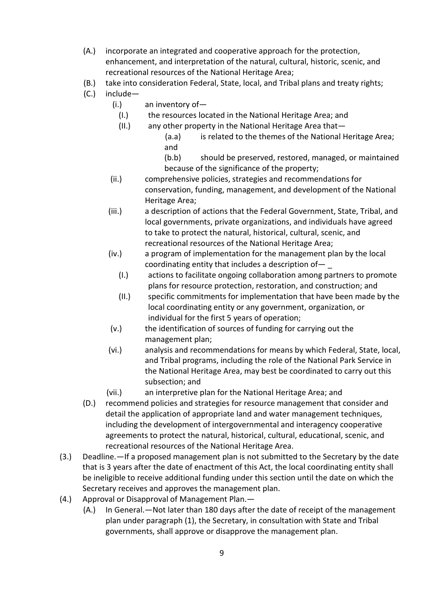- (A.) incorporate an integrated and cooperative approach for the protection, enhancement, and interpretation of the natural, cultural, historic, scenic, and recreational resources of the National Heritage Area;
- (B.) take into consideration Federal, State, local, and Tribal plans and treaty rights;
- (C.) include—
	- (i.) an inventory of—
		- (I.) the resources located in the National Heritage Area; and
	- (II.) any other property in the National Heritage Area that—
		- (a.a) is related to the themes of the National Heritage Area; and
		- (b.b) should be preserved, restored, managed, or maintained because of the significance of the property;
	- (ii.) comprehensive policies, strategies and recommendations for conservation, funding, management, and development of the National Heritage Area;
	- (iii.) a description of actions that the Federal Government, State, Tribal, and local governments, private organizations, and individuals have agreed to take to protect the natural, historical, cultural, scenic, and recreational resources of the National Heritage Area;
	- (iv.) a program of implementation for the management plan by the local coordinating entity that includes a description of— \_
		- (I.) actions to facilitate ongoing collaboration among partners to promote plans for resource protection, restoration, and construction; and
		- (II.) specific commitments for implementation that have been made by the local coordinating entity or any government, organization, or individual for the first 5 years of operation;
	- (v.) the identification of sources of funding for carrying out the management plan;
	- (vi.) analysis and recommendations for means by which Federal, State, local, and Tribal programs, including the role of the National Park Service in the National Heritage Area, may best be coordinated to carry out this subsection; and
	- (vii.) an interpretive plan for the National Heritage Area; and
- (D.) recommend policies and strategies for resource management that consider and detail the application of appropriate land and water management techniques, including the development of intergovernmental and interagency cooperative agreements to protect the natural, historical, cultural, educational, scenic, and recreational resources of the National Heritage Area.
- (3.) Deadline.—If a proposed management plan is not submitted to the Secretary by the date that is 3 years after the date of enactment of this Act, the local coordinating entity shall be ineligible to receive additional funding under this section until the date on which the Secretary receives and approves the management plan.
- (4.) Approval or Disapproval of Management Plan.—
	- (A.) In General.—Not later than 180 days after the date of receipt of the management plan under paragraph (1), the Secretary, in consultation with State and Tribal governments, shall approve or disapprove the management plan.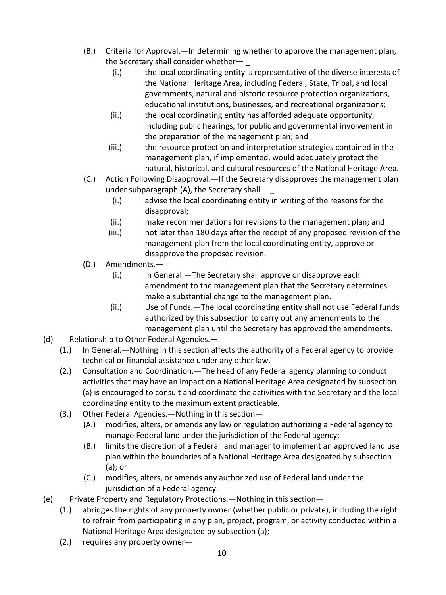- (B.) Criteria for Approval.—In determining whether to approve the management plan, the Secretary shall consider whether-
	- (i.) the local coordinating entity is representative of the diverse interests of the National Heritage Area, including Federal, State, Tribal, and local governments, natural and historic resource protection organizations, educational institutions, businesses, and recreational organizations;
	- (ii.) the local coordinating entity has afforded adequate opportunity, including public hearings, for public and governmental involvement in the preparation of the management plan; and
	- (iii.) the resource protection and interpretation strategies contained in the management plan, if implemented, would adequately protect the natural, historical, and cultural resources of the National Heritage Area.
- (C.) Action Following Disapproval.—If the Secretary disapproves the management plan under subparagraph (A), the Secretary shall—
	- (i.) advise the local coordinating entity in writing of the reasons for the disapproval;
	- (ii.) make recommendations for revisions to the management plan; and
	- (iii.) not later than 180 days after the receipt of any proposed revision of the management plan from the local coordinating entity, approve or disapprove the proposed revision.
- (D.) Amendments.—
	- (i.) In General.—The Secretary shall approve or disapprove each amendment to the management plan that the Secretary determines make a substantial change to the management plan.
	- (ii.) Use of Funds.—The local coordinating entity shall not use Federal funds authorized by this subsection to carry out any amendments to the management plan until the Secretary has approved the amendments.
- (d) Relationship to Other Federal Agencies.—
	- (1.) In General.—Nothing in this section affects the authority of a Federal agency to provide technical or financial assistance under any other law.
	- (2.) Consultation and Coordination.—The head of any Federal agency planning to conduct activities that may have an impact on a National Heritage Area designated by subsection (a) is encouraged to consult and coordinate the activities with the Secretary and the local coordinating entity to the maximum extent practicable.
	- (3.) Other Federal Agencies.—Nothing in this section—
		- (A.) modifies, alters, or amends any law or regulation authorizing a Federal agency to manage Federal land under the jurisdiction of the Federal agency;
		- (B.) limits the discretion of a Federal land manager to implement an approved land use plan within the boundaries of a National Heritage Area designated by subsection (a); or
		- (C.) modifies, alters, or amends any authorized use of Federal land under the jurisdiction of a Federal agency.
- (e) Private Property and Regulatory Protections.—Nothing in this section—
	- (1.) abridges the rights of any property owner (whether public or private), including the right to refrain from participating in any plan, project, program, or activity conducted within a National Heritage Area designated by subsection (a);
	- (2.) requires any property owner—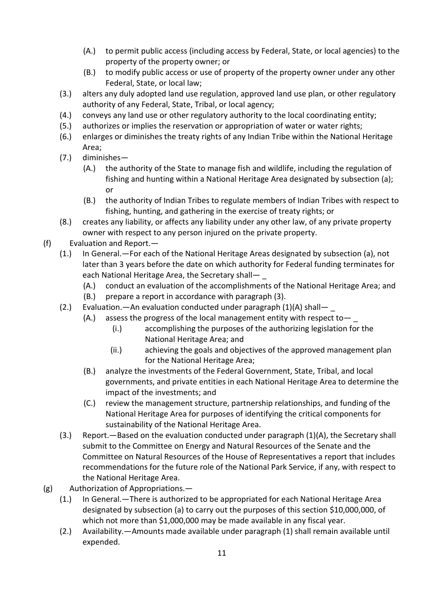- (A.) to permit public access (including access by Federal, State, or local agencies) to the property of the property owner; or
- (B.) to modify public access or use of property of the property owner under any other Federal, State, or local law;
- (3.) alters any duly adopted land use regulation, approved land use plan, or other regulatory authority of any Federal, State, Tribal, or local agency;
- (4.) conveys any land use or other regulatory authority to the local coordinating entity;
- (5.) authorizes or implies the reservation or appropriation of water or water rights;
- (6.) enlarges or diminishes the treaty rights of any Indian Tribe within the National Heritage Area;
- (7.) diminishes—
	- (A.) the authority of the State to manage fish and wildlife, including the regulation of fishing and hunting within a National Heritage Area designated by subsection (a); or
	- (B.) the authority of Indian Tribes to regulate members of Indian Tribes with respect to fishing, hunting, and gathering in the exercise of treaty rights; or
- (8.) creates any liability, or affects any liability under any other law, of any private property owner with respect to any person injured on the private property.
- (f) Evaluation and Report.—
	- (1.) In General.—For each of the National Heritage Areas designated by subsection (a), not later than 3 years before the date on which authority for Federal funding terminates for each National Heritage Area, the Secretary shall-
		- (A.) conduct an evaluation of the accomplishments of the National Heritage Area; and
		- (B.) prepare a report in accordance with paragraph (3).
	- (2.) Evaluation.—An evaluation conducted under paragraph (1)(A) shall— \_
		- (A.) assess the progress of the local management entity with respect to  $-$ 
			- (i.) accomplishing the purposes of the authorizing legislation for the National Heritage Area; and
			- (ii.) achieving the goals and objectives of the approved management plan for the National Heritage Area;
		- (B.) analyze the investments of the Federal Government, State, Tribal, and local governments, and private entities in each National Heritage Area to determine the impact of the investments; and
		- (C.) review the management structure, partnership relationships, and funding of the National Heritage Area for purposes of identifying the critical components for sustainability of the National Heritage Area.
	- (3.) Report.—Based on the evaluation conducted under paragraph (1)(A), the Secretary shall submit to the Committee on Energy and Natural Resources of the Senate and the Committee on Natural Resources of the House of Representatives a report that includes recommendations for the future role of the National Park Service, if any, with respect to the National Heritage Area.
- (g) Authorization of Appropriations.—
	- (1.) In General.—There is authorized to be appropriated for each National Heritage Area designated by subsection (a) to carry out the purposes of this section \$10,000,000, of which not more than \$1,000,000 may be made available in any fiscal year.
	- (2.) Availability.—Amounts made available under paragraph (1) shall remain available until expended.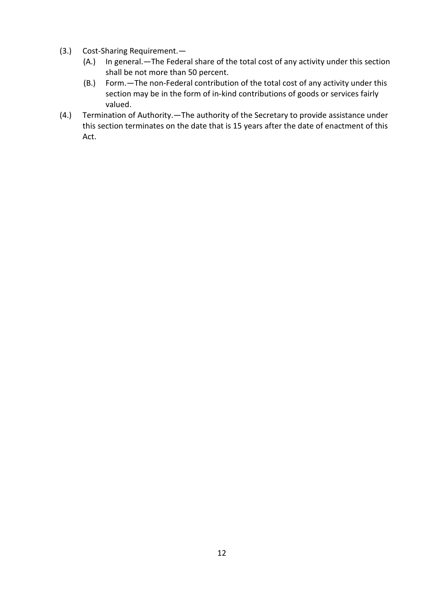- (3.) Cost-Sharing Requirement.—
	- (A.) In general.—The Federal share of the total cost of any activity under this section shall be not more than 50 percent.
	- (B.) Form.—The non-Federal contribution of the total cost of any activity under this section may be in the form of in-kind contributions of goods or services fairly valued.
- (4.) Termination of Authority.—The authority of the Secretary to provide assistance under this section terminates on the date that is 15 years after the date of enactment of this Act.